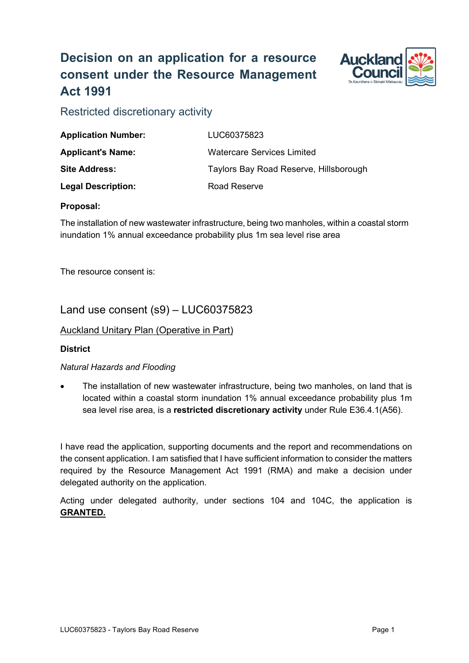# **Decision on an application for a resource consent under the Resource Management Act 1991**



Restricted discretionary activity

| <b>Application Number:</b> | LUC60375823                            |
|----------------------------|----------------------------------------|
| <b>Applicant's Name:</b>   | Watercare Services Limited             |
| <b>Site Address:</b>       | Taylors Bay Road Reserve, Hillsborough |
| <b>Legal Description:</b>  | Road Reserve                           |

#### **Proposal:**

The installation of new wastewater infrastructure, being two manholes, within a coastal storm inundation 1% annual exceedance probability plus 1m sea level rise area

The resource consent is:

### Land use consent (s9) – LUC60375823

#### Auckland Unitary Plan (Operative in Part)

#### **District**

#### *Natural Hazards and Flooding*

• The installation of new wastewater infrastructure, being two manholes, on land that is located within a coastal storm inundation 1% annual exceedance probability plus 1m sea level rise area, is a **restricted discretionary activity** under Rule E36.4.1(A56).

I have read the application, supporting documents and the report and recommendations on the consent application. I am satisfied that I have sufficient information to consider the matters required by the Resource Management Act 1991 (RMA) and make a decision under delegated authority on the application.

Acting under delegated authority, under sections 104 and 104C, the application is **GRANTED.**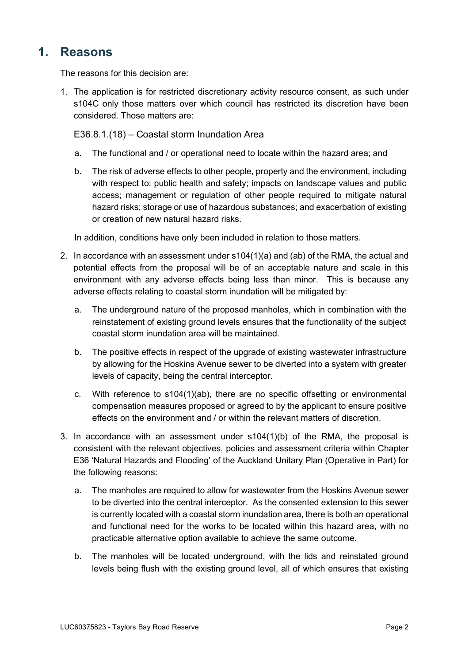## **1. Reasons**

The reasons for this decision are:

1. The application is for restricted discretionary activity resource consent, as such under s104C only those matters over which council has restricted its discretion have been considered. Those matters are:

#### E36.8.1.(18) – Coastal storm Inundation Area

- a. The functional and / or operational need to locate within the hazard area; and
- b. The risk of adverse effects to other people, property and the environment, including with respect to: public health and safety; impacts on landscape values and public access; management or regulation of other people required to mitigate natural hazard risks; storage or use of hazardous substances; and exacerbation of existing or creation of new natural hazard risks.

In addition, conditions have only been included in relation to those matters.

- 2. In accordance with an assessment under s104(1)(a) and (ab) of the RMA, the actual and potential effects from the proposal will be of an acceptable nature and scale in this environment with any adverse effects being less than minor. This is because any adverse effects relating to coastal storm inundation will be mitigated by:
	- a. The underground nature of the proposed manholes, which in combination with the reinstatement of existing ground levels ensures that the functionality of the subject coastal storm inundation area will be maintained.
	- b. The positive effects in respect of the upgrade of existing wastewater infrastructure by allowing for the Hoskins Avenue sewer to be diverted into a system with greater levels of capacity, being the central interceptor.
	- c. With reference to s104(1)(ab), there are no specific offsetting or environmental compensation measures proposed or agreed to by the applicant to ensure positive effects on the environment and / or within the relevant matters of discretion.
- 3. In accordance with an assessment under s104(1)(b) of the RMA, the proposal is consistent with the relevant objectives, policies and assessment criteria within Chapter E36 'Natural Hazards and Flooding' of the Auckland Unitary Plan (Operative in Part) for the following reasons:
	- a. The manholes are required to allow for wastewater from the Hoskins Avenue sewer to be diverted into the central interceptor. As the consented extension to this sewer is currently located with a coastal storm inundation area, there is both an operational and functional need for the works to be located within this hazard area, with no practicable alternative option available to achieve the same outcome.
	- b. The manholes will be located underground, with the lids and reinstated ground levels being flush with the existing ground level, all of which ensures that existing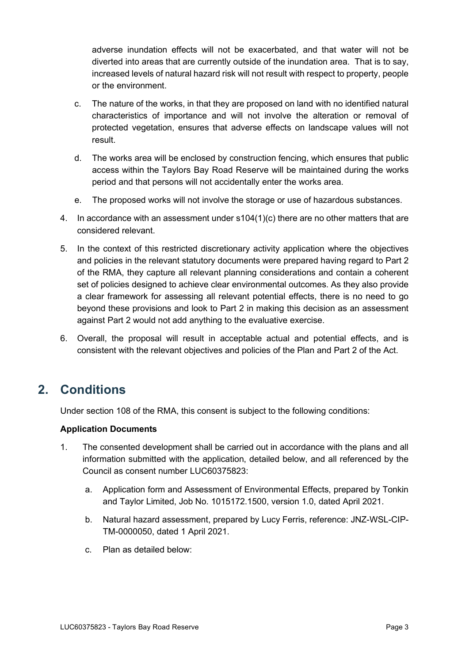adverse inundation effects will not be exacerbated, and that water will not be diverted into areas that are currently outside of the inundation area. That is to say, increased levels of natural hazard risk will not result with respect to property, people or the environment.

- c. The nature of the works, in that they are proposed on land with no identified natural characteristics of importance and will not involve the alteration or removal of protected vegetation, ensures that adverse effects on landscape values will not result.
- d. The works area will be enclosed by construction fencing, which ensures that public access within the Taylors Bay Road Reserve will be maintained during the works period and that persons will not accidentally enter the works area.
- e. The proposed works will not involve the storage or use of hazardous substances.
- 4. In accordance with an assessment under  $s104(1)(c)$  there are no other matters that are considered relevant.
- 5. In the context of this restricted discretionary activity application where the objectives and policies in the relevant statutory documents were prepared having regard to Part 2 of the RMA, they capture all relevant planning considerations and contain a coherent set of policies designed to achieve clear environmental outcomes. As they also provide a clear framework for assessing all relevant potential effects, there is no need to go beyond these provisions and look to Part 2 in making this decision as an assessment against Part 2 would not add anything to the evaluative exercise.
- 6. Overall, the proposal will result in acceptable actual and potential effects, and is consistent with the relevant objectives and policies of the Plan and Part 2 of the Act.

## **2. Conditions**

Under section 108 of the RMA, this consent is subject to the following conditions:

#### **Application Documents**

- 1. The consented development shall be carried out in accordance with the plans and all information submitted with the application, detailed below, and all referenced by the Council as consent number LUC60375823:
	- a. Application form and Assessment of Environmental Effects, prepared by Tonkin and Taylor Limited, Job No. 1015172.1500, version 1.0, dated April 2021.
	- b. Natural hazard assessment, prepared by Lucy Ferris, reference: JNZ-WSL-CIP-TM-0000050, dated 1 April 2021.
	- c. Plan as detailed below: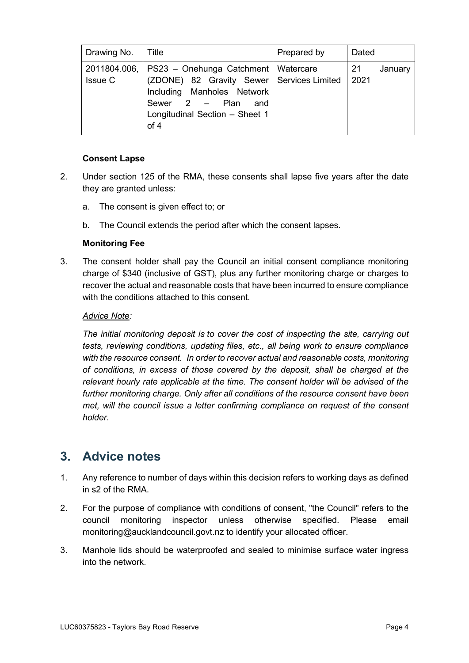| Drawing No. | Title                                                                                                                                                                                                    | Prepared by | Dated                 |
|-------------|----------------------------------------------------------------------------------------------------------------------------------------------------------------------------------------------------------|-------------|-----------------------|
| Issue C     | 2011804.006,   PS23 - Onehunga Catchment   Watercare<br>(ZDONE) 82 Gravity Sewer   Services Limited<br>Including Manholes Network<br>Sewer $2 -$ Plan<br>and<br>Longitudinal Section - Sheet 1<br>of $4$ |             | 21<br>January<br>2021 |

#### **Consent Lapse**

- 2. Under section 125 of the RMA, these consents shall lapse five years after the date they are granted unless:
	- a. The consent is given effect to; or
	- b. The Council extends the period after which the consent lapses.

#### **Monitoring Fee**

3. The consent holder shall pay the Council an initial consent compliance monitoring charge of \$340 (inclusive of GST), plus any further monitoring charge or charges to recover the actual and reasonable costs that have been incurred to ensure compliance with the conditions attached to this consent.

#### *Advice Note:*

*The initial monitoring deposit is to cover the cost of inspecting the site, carrying out tests, reviewing conditions, updating files, etc., all being work to ensure compliance with the resource consent. In order to recover actual and reasonable costs, monitoring of conditions, in excess of those covered by the deposit, shall be charged at the relevant hourly rate applicable at the time. The consent holder will be advised of the further monitoring charge. Only after all conditions of the resource consent have been met, will the council issue a letter confirming compliance on request of the consent holder.* 

## **3. Advice notes**

- 1. Any reference to number of days within this decision refers to working days as defined in s2 of the RMA.
- 2. For the purpose of compliance with conditions of consent, "the Council" refers to the council monitoring inspector unless otherwise specified. Please email [monitoring@aucklandcouncil.govt.nz](mailto:monitoring@aucklandcouncil.govt.nz) to identify your allocated officer.
- 3. Manhole lids should be waterproofed and sealed to minimise surface water ingress into the network.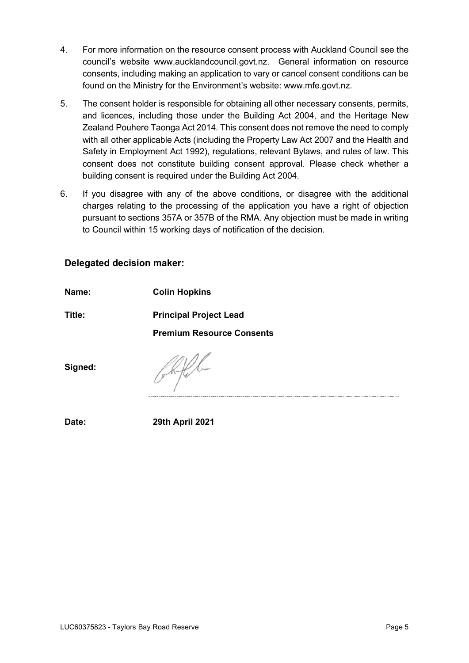- 4. For more information on the resource consent process with Auckland Council see the council's website www.aucklandcouncil.govt.nz. General information on resource consents, including making an application to vary or cancel consent conditions can be found on the Ministry for the Environment's website: [www.mfe.govt.nz.](http://www.mfe.govt.nz/)
- 5. The consent holder is responsible for obtaining all other necessary consents, permits, and licences, including those under the Building Act 2004, and the Heritage New Zealand Pouhere Taonga Act 2014. This consent does not remove the need to comply with all other applicable Acts (including the Property Law Act 2007 and the Health and Safety in Employment Act 1992), regulations, relevant Bylaws, and rules of law. This consent does not constitute building consent approval. Please check whether a building consent is required under the Building Act 2004.
- 6. If you disagree with any of the above conditions, or disagree with the additional charges relating to the processing of the application you have a right of objection pursuant to sections 357A or 357B of the RMA. Any objection must be made in writing to Council within 15 working days of notification of the decision.

### **Delegated decision maker:**

**Name: Colin Hopkins**

**Title: Principal Project Lead**

**Premium Resource Consents**

**Signed:**

**Date: 29th April 2021**